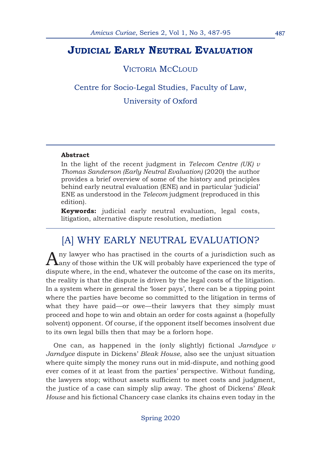### **JUDICIAL EARLY NEUTRAL EVALUATION**

### VICTORIA MCCLOUD

Centre for Socio-Legal Studies, Faculty of Law, University of Oxford

#### **Abstract**

In the light of the recent judgment in *Telecom Centre (UK) v Thomas Sanderson (Early Neutral Evaluation)* (2020) the author provides a brief overview of some of the history and principles behind early neutral evaluation (ENE) and in particular 'judicial' ENE as understood in the *Telecom* judgment (reproduced in this edition).

**Keywords:** judicial early neutral evaluation, legal costs, litigation, alternative dispute resolution, mediation

## [A] WHY EARLY NEUTRAL EVALUATION?

Any lawyer who has practised in the courts of a jurisdiction such as any of those within the UK will probably have experienced the type of dispute where, in the end, whatever the outcome of the case on its merits, the reality is that the dispute is driven by the legal costs of the litigation. In a system where in general the 'loser pays', there can be a tipping point where the parties have become so committed to the litigation in terms of what they have paid—or owe—their lawyers that they simply must proceed and hope to win and obtain an order for costs against a (hopefully solvent) opponent. Of course, if the opponent itself becomes insolvent due to its own legal bills then that may be a forlorn hope.

One can, as happened in the (only slightly) fictional *Jarndyce v Jarndyce* dispute in Dickens' *Bleak House*, also see the unjust situation where quite simply the money runs out in mid-dispute, and nothing good ever comes of it at least from the parties' perspective. Without funding, the lawyers stop; without assets sufficient to meet costs and judgment, the justice of a case can simply slip away. The ghost of Dickens' *Bleak House* and his fictional Chancery case clanks its chains even today in the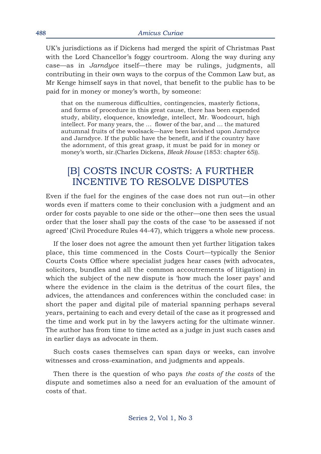UK's jurisdictions as if Dickens had merged the spirit of Christmas Past with the Lord Chancellor's foggy courtroom. Along the way during any case—as in *Jarndyce* itself—there may be rulings, judgments, all contributing in their own ways to the corpus of the Common Law but, as Mr Kenge himself says in that novel, that benefit to the public has to be paid for in money or money's worth, by someone:

that on the numerous difficulties, contingencies, masterly fictions, and forms of procedure in this great cause, there has been expended study, ability, eloquence, knowledge, intellect, Mr. Woodcourt, high intellect. For many years, the … flower of the bar, and … the matured autumnal fruits of the woolsack—have been lavished upon Jarndyce and Jarndyce. If the public have the benefit, and if the country have the adornment, of this great grasp, it must be paid for in money or money's worth, sir.(Charles Dickens, *Bleak House* (1853: chapter 65)).

## [B] COSTS INCUR COSTS: A FURTHER INCENTIVE TO RESOLVE DISPUTES

Even if the fuel for the engines of the case does not run out—in other words even if matters come to their conclusion with a judgment and an order for costs payable to one side or the other—one then sees the usual order that the loser shall pay the costs of the case 'to be assessed if not agreed' (Civil Procedure Rules 44-47), which triggers a whole new process.

If the loser does not agree the amount then yet further litigation takes place, this time commenced in the Costs Court—typically the Senior Courts Costs Office where specialist judges hear cases (with advocates, solicitors, bundles and all the common accoutrements of litigation) in which the subject of the new dispute is 'how much the loser pays' and where the evidence in the claim is the detritus of the court files, the advices, the attendances and conferences within the concluded case: in short the paper and digital pile of material spanning perhaps several years, pertaining to each and every detail of the case as it progressed and the time and work put in by the lawyers acting for the ultimate winner. The author has from time to time acted as a judge in just such cases and in earlier days as advocate in them.

Such costs cases themselves can span days or weeks, can involve witnesses and cross-examination, and judgments and appeals.

Then there is the question of who pays *the costs of the costs* of the dispute and sometimes also a need for an evaluation of the amount of costs of that.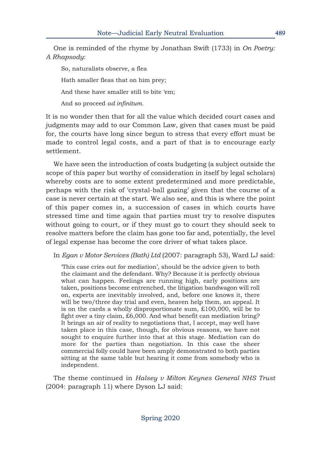One is reminded of the rhyme by Jonathan Swift (1733) in *On Poetry: A Rhapsody*:

So, naturalists observe, a flea Hath smaller fleas that on him prey; And these have smaller still to bite 'em; And so proceed *ad infinitum*.

It is no wonder then that for all the value which decided court cases and judgments may add to our Common Law, given that cases must be paid for, the courts have long since begun to stress that every effort must be made to control legal costs, and a part of that is to encourage early settlement.

We have seen the introduction of costs budgeting (a subject outside the scope of this paper but worthy of consideration in itself by legal scholars) whereby costs are to some extent predetermined and more predictable, perhaps with the risk of 'crystal-ball gazing' given that the course of a case is never certain at the start. We also see, and this is where the point of this paper comes in, a succession of cases in which courts have stressed time and time again that parties must try to resolve disputes without going to court, or if they must go to court they should seek to resolve matters before the claim has gone too far and, potentially, the level of legal expense has become the core driver of what takes place.

In *Egan v Motor Services (Bath) Ltd* (2007: paragraph 53), Ward LJ said:

'This case cries out for mediation', should be the advice given to both the claimant and the defendant. Why? Because it is perfectly obvious what can happen. Feelings are running high, early positions are taken, positions become entrenched, the litigation bandwagon will roll on, experts are inevitably involved, and, before one knows it, there will be two/three day trial and even, heaven help them, an appeal. It is on the cards a wholly disproportionate sum, £100,000, will be to fight over a tiny claim, £6,000. And what benefit can mediation bring? It brings an air of reality to negotiations that, I accept, may well have taken place in this case, though, for obvious reasons, we have not sought to enquire further into that at this stage. Mediation can do more for the parties than negotiation. In this case the sheer commercial folly could have been amply demonstrated to both parties sitting at the same table but hearing it come from somebody who is independent.

The theme continued in *Halsey v Milton Keynes General NHS Trust* (2004: paragraph 11) where Dyson LJ said: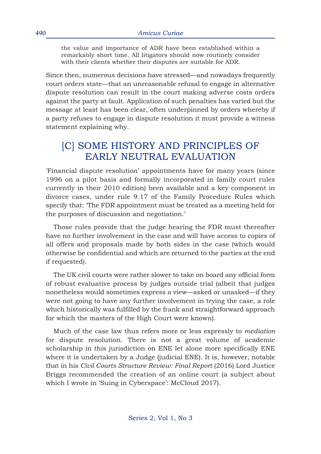the value and importance of ADR have been established within a remarkably short time. All litigators should now routinely consider with their clients whether their disputes are suitable for ADR.

Since then, numerous decisions have stressed—and nowadays frequently court orders state—that an unreasonable refusal to engage in alternative dispute resolution can result in the court making adverse costs orders against the party at fault. Application of such penalties has varied but the message at least has been clear, often underpinned by orders whereby if a party refuses to engage in dispute resolution it must provide a witness statement explaining why.

## [C] SOME HISTORY AND PRINCIPLES OF EARLY NEUTRAL EVALUATION

'Financial dispute resolution' appointments have for many years (since 1996 on a pilot basis and formally incorporated in family court rules currently in their 2010 edition) been available and a key component in divorce cases, under rule 9.17 of the Family Procedure Rules which specify that: 'The FDR appointment must be treated as a meeting held for the purposes of discussion and negotiation.'

Those rules provide that the judge hearing the FDR must thereafter have no further involvement in the case and will have access to copies of all offers and proposals made by both sides in the case (which would otherwise be confidential and which are returned to the parties at the end if requested).

The UK civil courts were rather slower to take on board any official form of robust evaluative process by judges outside trial (albeit that judges nonetheless would sometimes express a view—asked or unasked—if they were not going to have any further involvement in trying the case, a role which historically was fulfilled by the frank and straightforward approach for which the masters of the High Court were known).

Much of the case law thus refers more or less expressly to *mediation* for dispute resolution. There is not a great volume of academic scholarship in this jurisdiction on ENE let alone more specifically ENE where it is undertaken by a Judge (judicial ENE). It is, however, notable that in his *Civil Courts Structure Review: Final Report* (2016) Lord Justice Briggs recommended the creation of an online court (a subject about which I wrote in 'Suing in Cyberspace': McCloud 2017).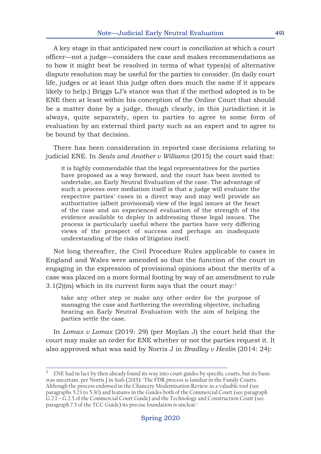A key stage in that anticipated new court is *conciliation* at which a court officer—not a judge—considers the case and makes recommendations as to how it might best be resolved in terms of what types(s) of alternative dispute resolution may be useful for the parties to consider. (In daily court life, judges or at least this judge often does much the same if it appears likely to help.) Briggs LJ's stance was that if the method adopted is to be ENE then at least within his conception of the Online Court that should be a matter done by a judge, though clearly, in this jurisdiction it is always, quite separately, open to parties to agree to some form of evaluation by an external third party such as an expert and to agree to be bound by that decision.

There has been consideration in reported case decisions relating to judicial ENE. In *Seals and Another v Williams* (2015) the court said that:

it is highly commendable that the legal representatives for the parties have proposed as a way forward, and the court has been invited to undertake, an Early Neutral Evaluation of the case. The advantage of such a process over mediation itself is that a judge will evaluate the respective parties' cases in a direct way and may well provide an authoritative (albeit provisional) view of the legal issues at the heart of the case and an experienced evaluation of the strength of the evidence available to deploy in addressing those legal issues. The process is particularly useful where the parties have very differing views of the prospect of success and perhaps an inadequate understanding of the risks of litigation itself.

Not long thereafter, the Civil Procedure Rules applicable to cases in England and Wales were amended so that the function of the court in engaging in the expression of provisional opinions about the merits of a case was placed on a more formal footing by way of an amendment to rule  $3.1(2)(m)$  which in its current form says that the court may:<sup>1</sup>

take any other step or make any other order for the purpose of managing the case and furthering the overriding objective, including hearing an Early Neutral Evaluation with the aim of helping the parties settle the case.

In *Lomax v Lomax* (2019: 29) (per Moylan J) the court held that the court may make an order for ENE whether or not the parties request it. It also approved what was said by Norris J in *Bradley v Heslin* (2014: 24):

 $1$  ENE had in fact by then already found its way into court guides by specific courts, but its basis was uncertain, per Norris J in *Seals* (2015): 'The FDR process is familiar in the Family Courts. Although the process endorsed in the Chancery Modernisation Review as a valuable tool (see paragraphs 5.23 to 5.30) and features in the Guides both of the Commercial Court (see paragraph G.2.1 – G.2.5 of the Commercial Court Guide) and the Technology and Construction Court (see paragraph 7.5 of the TCC Guide) its precise foundation is unclear.'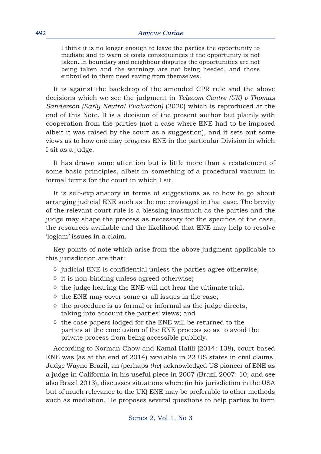I think it is no longer enough to leave the parties the opportunity to mediate and to warn of costs consequences if the opportunity is not taken. In boundary and neighbour disputes the opportunities are not being taken and the warnings are not being heeded, and those embroiled in them need saving from themselves.

It is against the backdrop of the amended CPR rule and the above decisions which we see the judgment in *Telecom Centre (UK) v Thomas Sanderson (Early Neutral Evaluation)* (2020) which is reproduced at the end of this Note. It is a decision of the present author but plainly with cooperation from the parties (not a case where ENE had to be imposed albeit it was raised by the court as a suggestion), and it sets out some views as to how one may progress ENE in the particular Division in which I sit as a judge.

It has drawn some attention but is little more than a restatement of some basic principles, albeit in something of a procedural vacuum in formal terms for the court in which I sit.

It is self-explanatory in terms of suggestions as to how to go about arranging judicial ENE such as the one envisaged in that case. The brevity of the relevant court rule is a blessing inasmuch as the parties and the judge may shape the process as necessary for the specifics of the case, the resources available and the likelihood that ENE may help to resolve 'logjam' issues in a claim.

Key points of note which arise from the above judgment applicable to this jurisdiction are that:

- ◊ judicial ENE is confidential unless the parties agree otherwise;
- ◊ it is non-binding unless agreed otherwise;
- ◊ the judge hearing the ENE will not hear the ultimate trial;
- ◊ the ENE may cover some or all issues in the case;
- $\Diamond$  the procedure is as formal or informal as the judge directs, taking into account the parties' views; and
- ◊ the case papers lodged for the ENE will be returned to the parties at the conclusion of the ENE process so as to avoid the private process from being accessible publicly.

According to Norman Chow and Kamal Halili (2014: 138), court-based ENE was (as at the end of 2014) available in 22 US states in civil claims. Judge Wayne Brazil, an (perhaps *the*) acknowledged US pioneer of ENE as a judge in California in his useful piece in 2007 (Brazil 2007: 10; and see also Brazil 2013), discusses situations where (in his jurisdiction in the USA but of much relevance to the UK) ENE may be preferable to other methods such as mediation. He proposes several questions to help parties to form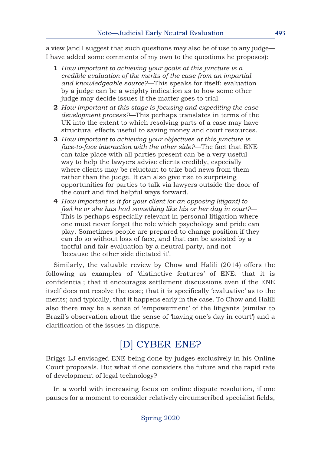a view (and I suggest that such questions may also be of use to any judge— I have added some comments of my own to the questions he proposes):

- **1** *How important to achieving your goals at this juncture is a credible evaluation of the merits of the case from an impartial and knowledgeable source?*—This speaks for itself: evaluation by a judge can be a weighty indication as to how some other judge may decide issues if the matter goes to trial.
- **2** *How important at this stage is focusing and expediting the case development process?*—This perhaps translates in terms of the UK into the extent to which resolving parts of a case may have structural effects useful to saving money and court resources.
- **3** *How important to achieving your objectives at this juncture is face-to-face interaction with the other side?*—The fact that ENE can take place with all parties present can be a very useful way to help the lawyers advise clients credibly, especially where clients may be reluctant to take bad news from them rather than the judge. It can also give rise to surprising opportunities for parties to talk via lawyers outside the door of the court and find helpful ways forward.
- **4** *How important is it for your client (or an opposing litigant) to feel he or she has had something like his or her day in court?*— This is perhaps especially relevant in personal litigation where one must never forget the role which psychology and pride can play. Sometimes people are prepared to change position if they can do so without loss of face, and that can be assisted by a tactful and fair evaluation by a neutral party, and not 'because the other side dictated it'.

Similarly, the valuable review by Chow and Halili (2014) offers the following as examples of 'distinctive features' of ENE: that it is confidential; that it encourages settlement discussions even if the ENE itself does not resolve the case; that it is specifically 'evaluative' as to the merits; and typically, that it happens early in the case. To Chow and Halili also there may be a sense of 'empowerment' of the litigants (similar to Brazil's observation about the sense of 'having one's day in court') and a clarification of the issues in dispute.

# [D] CYBER-ENE?

Briggs LJ envisaged ENE being done by judges exclusively in his Online Court proposals. But what if one considers the future and the rapid rate of development of legal technology?

In a world with increasing focus on online dispute resolution, if one pauses for a moment to consider relatively circumscribed specialist fields,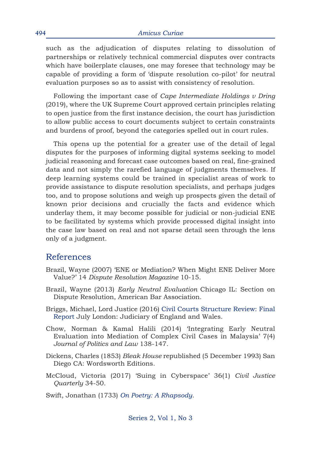such as the adjudication of disputes relating to dissolution of partnerships or relatively technical commercial disputes over contracts which have boilerplate clauses, one may foresee that technology may be capable of providing a form of 'dispute resolution co-pilot' for neutral evaluation purposes so as to assist with consistency of resolution.

Following the important case of *Cape Intermediate Holdings v Dring* (2019), where the UK Supreme Court approved certain principles relating to open justice from the first instance decision, the court has jurisdiction to allow public access to court documents subject to certain constraints and burdens of proof, beyond the categories spelled out in court rules.

This opens up the potential for a greater use of the detail of legal disputes for the purposes of informing digital systems seeking to model judicial reasoning and forecast case outcomes based on real, fine-grained data and not simply the rarefied language of judgments themselves. If deep learning systems could be trained in specialist areas of work to provide assistance to dispute resolution specialists, and perhaps judges too, and to propose solutions and weigh up prospects given the detail of known prior decisions and crucially the facts and evidence which underlay them, it may become possible for judicial or non-judicial ENE to be facilitated by systems which provide processed digital insight into the case law based on real and not sparse detail seen through the lens only of a judgment.

### References

- Brazil, Wayne (2007) 'ENE or Mediation? When Might ENE Deliver More Value?' 14 *Dispute Resolution Magazine* 10-15.
- Brazil, Wayne (2013) *Early Neutral Evaluation* Chicago IL: Section on Dispute Resolution, American Bar Association.
- Briggs, Michael, Lord Justice (2016) [Civil Courts Structure Review: Final](https://www.judiciary.uk/publications/civil-courts-structure-review-final-report/) [Report](https://www.judiciary.uk/publications/civil-courts-structure-review-final-report/) July London: Judiciary of England and Wales.
- Chow, Norman & Kamal Halili (2014) 'Integrating Early Neutral Evaluation into Mediation of Complex Civil Cases in Malaysia' 7(4) *Journal of Politics and Law* 138-147.
- Dickens, Charles (1853) *Bleak House* republished (5 December 1993) San Diego CA: Wordsworth Editions.
- McCloud, Victoria (2017) 'Suing in Cyberspace' 36(1) *Civil Justice Quarterly* 34-50.

Swift, Jonathan (1733) *[On Poetry: A Rhapsody](http://www.online-literature.com/swift/3515/ )*.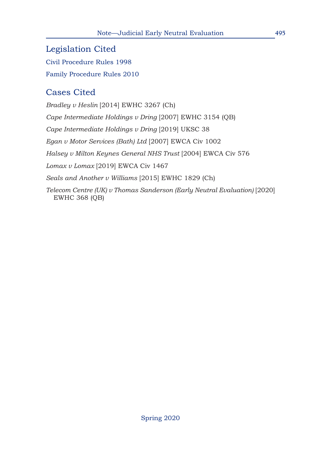Legislation Cited [Civil Procedure Rules 1998](https://www.justice.gov.uk/courts/procedure-rules/civil/rules) [Family Procedure Rules 2010](https://www.justice.gov.uk/courts/procedure-rules/family)

# Cases Cited

*Bradley v Heslin* [2014] EWHC 3267 (Ch) *Cape Intermediate Holdings v Dring* [2007] EWHC 3154 (QB) *Cape Intermediate Holdings v Dring* [2019] UKSC 38 *Egan v Motor Services (Bath) Ltd* [2007] EWCA Civ 1002 *Halsey v Milton Keynes General NHS Trust* [2004] EWCA Civ 576 *Lomax v Lomax* [2019] EWCA Civ 1467 *Seals and Another v Williams* [2015] EWHC 1829 (Ch) *Telecom Centre (UK) v Thomas Sanderson (Early Neutral Evaluation)* [2020] EWHC 368 (QB)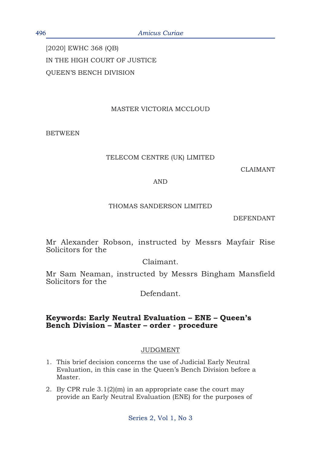[2020] EWHC 368 (QB) IN THE HIGH COURT OF JUSTICE QUEEN'S BENCH DIVISION

### MASTER VICTORIA MCCLOUD

BETWEEN

#### TELECOM CENTRE (UK) LIMITED

CLAIMANT

#### AND

#### THOMAS SANDERSON LIMITED

DEFENDANT

Mr Alexander Robson, instructed by Messrs Mayfair Rise Solicitors for the

### Claimant.

Mr Sam Neaman, instructed by Messrs Bingham Mansfield Solicitors for the

Defendant.

### **Keywords: Early Neutral Evaluation – ENE – Queen's Bench Division – Master – order - procedure**

#### JUDGMENT

- 1. This brief decision concerns the use of Judicial Early Neutral Evaluation, in this case in the Queen's Bench Division before a Master.
- 2. By CPR rule 3.1(2)(m) in an appropriate case the court may provide an Early Neutral Evaluation (ENE) for the purposes of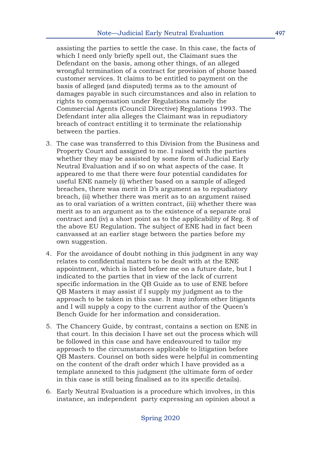assisting the parties to settle the case. In this case, the facts of which I need only briefly spell out, the Claimant sues the Defendant on the basis, among other things, of an alleged wrongful termination of a contract for provision of phone based customer services. It claims to be entitled to payment on the basis of alleged (and disputed) terms as to the amount of damages payable in such circumstances and also in relation to rights to compensation under Regulations namely the Commercial Agents (Council Directive) Regulations 1993. The Defendant inter alia alleges the Claimant was in repudiatory breach of contract entitling it to terminate the relationship between the parties.

- 3. The case was transferred to this Division from the Business and Property Court and assigned to me. I raised with the parties whether they may be assisted by some form of Judicial Early Neutral Evaluation and if so on what aspects of the case. It appeared to me that there were four potential candidates for useful ENE namely (i) whether based on a sample of alleged breaches, there was merit in D's argument as to repudiatory breach, (ii) whether there was merit as to an argument raised as to oral variation of a written contract, (iii) whether there was merit as to an argument as to the existence of a separate oral contract and (iv) a short point as to the applicability of Reg. 8 of the above EU Regulation. The subject of ENE had in fact been canvassed at an earlier stage between the parties before my own suggestion.
- 4. For the avoidance of doubt nothing in this judgment in any way relates to confidential matters to be dealt with at the ENE appointment, which is listed before me on a future date, but I indicated to the parties that in view of the lack of current specific information in the QB Guide as to use of ENE before QB Masters it may assist if I supply my judgment as to the approach to be taken in this case. It may inform other litigants and I will supply a copy to the current author of the Queen's Bench Guide for her information and consideration.
- 5. The Chancery Guide, by contrast, contains a section on ENE in that court. In this decision I have set out the process which will be followed in this case and have endeavoured to tailor my approach to the circumstances applicable to litigation before QB Masters. Counsel on both sides were helpful in commenting on the content of the draft order which I have provided as a template annexed to this judgment (the ultimate form of order in this case is still being finalised as to its specific details).
- 6. Early Neutral Evaluation is a procedure which involves, in this instance, an independent party expressing an opinion about a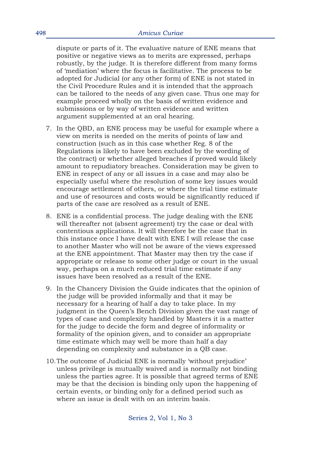dispute or parts of it. The evaluative nature of ENE means that positive or negative views as to merits are expressed, perhaps robustly, by the judge. It is therefore different from many forms of 'mediation' where the focus is facilitative. The process to be adopted for Judicial (or any other form) of ENE is not stated in the Civil Procedure Rules and it is intended that the approach can be tailored to the needs of any given case. Thus one may for example proceed wholly on the basis of written evidence and submissions or by way of written evidence and written argument supplemented at an oral hearing.

- 7. In the QBD, an ENE process may be useful for example where a view on merits is needed on the merits of points of law and construction (such as in this case whether Reg. 8 of the Regulations is likely to have been excluded by the wording of the contract) or whether alleged breaches if proved would likely amount to repudiatory breaches. Consideration may be given to ENE in respect of any or all issues in a case and may also be especially useful where the resolution of some key issues would encourage settlement of others, or where the trial time estimate and use of resources and costs would be significantly reduced if parts of the case are resolved as a result of ENE.
- 8. ENE is a confidential process. The judge dealing with the ENE will thereafter not (absent agreement) try the case or deal with contentious applications. It will therefore be the case that in this instance once I have dealt with ENE I will release the case to another Master who will not be aware of the views expressed at the ENE appointment. That Master may then try the case if appropriate or release to some other judge or court in the usual way, perhaps on a much reduced trial time estimate if any issues have been resolved as a result of the ENE.
- 9. In the Chancery Division the Guide indicates that the opinion of the judge will be provided informally and that it may be necessary for a hearing of half a day to take place. In my judgment in the Queen's Bench Division given the vast range of types of case and complexity handled by Masters it is a matter for the judge to decide the form and degree of informality or formality of the opinion given, and to consider an appropriate time estimate which may well be more than half a day depending on complexity and substance in a QB case.
- 10.The outcome of Judicial ENE is normally 'without prejudice' unless privilege is mutually waived and is normally not binding unless the parties agree. It is possible that agreed terms of ENE may be that the decision is binding only upon the happening of certain events, or binding only for a defined period such as where an issue is dealt with on an interim basis.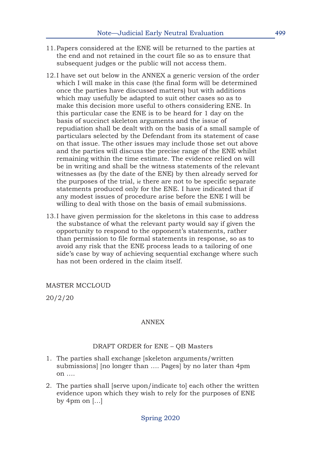- 11.Papers considered at the ENE will be returned to the parties at the end and not retained in the court file so as to ensure that subsequent judges or the public will not access them.
- 12.I have set out below in the ANNEX a generic version of the order which I will make in this case (the final form will be determined once the parties have discussed matters) but with additions which may usefully be adapted to suit other cases so as to make this decision more useful to others considering ENE. In this particular case the ENE is to be heard for 1 day on the basis of succinct skeleton arguments and the issue of repudiation shall be dealt with on the basis of a small sample of particulars selected by the Defendant from its statement of case on that issue. The other issues may include those set out above and the parties will discuss the precise range of the ENE whilst remaining within the time estimate. The evidence relied on will be in writing and shall be the witness statements of the relevant witnesses as (by the date of the ENE) by then already served for the purposes of the trial, ie there are not to be specific separate statements produced only for the ENE. I have indicated that if any modest issues of procedure arise before the ENE I will be willing to deal with those on the basis of email submissions.
- 13.I have given permission for the skeletons in this case to address the substance of what the relevant party would say if given the opportunity to respond to the opponent's statements, rather than permission to file formal statements in response, so as to avoid any risk that the ENE process leads to a tailoring of one side's case by way of achieving sequential exchange where such has not been ordered in the claim itself.

#### MASTER MCCLOUD

20/2/20

#### ANNEX

#### DRAFT ORDER for ENE – QB Masters

- 1. The parties shall exchange [skeleton arguments/written submissions] [no longer than …. Pages] by no later than 4pm on ….
- 2. The parties shall [serve upon/indicate to] each other the written evidence upon which they wish to rely for the purposes of ENE by 4pm on  $\left[ \ldots \right]$